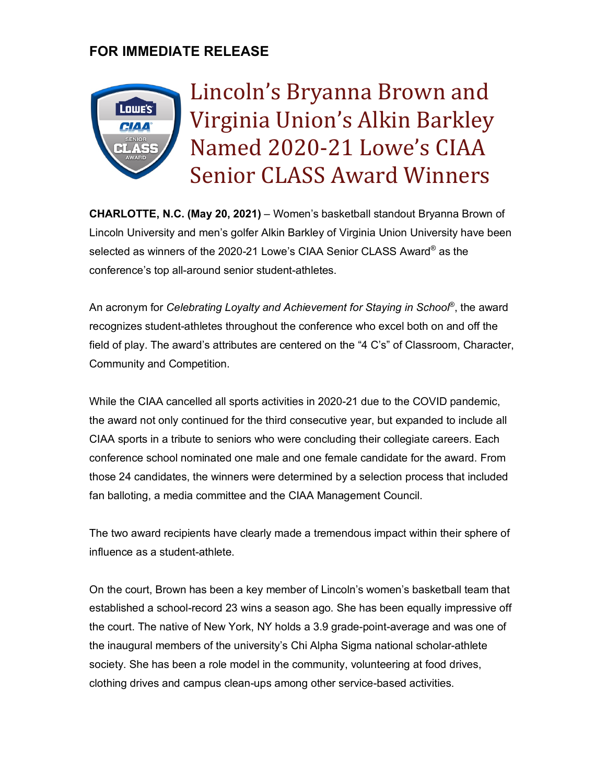# **FOR IMMEDIATE RELEASE**



Lincoln's Bryanna Brown and Virginia Union's Alkin Barkley Named 2020-21 Lowe's CIAA **Senior CLASS Award Winners** 

**CHARLOTTE, N.C. (May 20, 2021)** – Women's basketball standout Bryanna Brown of Lincoln University and men's golfer Alkin Barkley of Virginia Union University have been selected as winners of the 2020-21 Lowe's CIAA Senior CLASS Award® as the conference's top all-around senior student-athletes.

An acronym for *Celebrating Loyalty and Achievement for Staying in School*®, the award recognizes student-athletes throughout the conference who excel both on and off the field of play. The award's attributes are centered on the "4 C's" of Classroom, Character, Community and Competition.

While the CIAA cancelled all sports activities in 2020-21 due to the COVID pandemic, the award not only continued for the third consecutive year, but expanded to include all CIAA sports in a tribute to seniors who were concluding their collegiate careers. Each conference school nominated one male and one female candidate for the award. From those 24 candidates, the winners were determined by a selection process that included fan balloting, a media committee and the CIAA Management Council.

The two award recipients have clearly made a tremendous impact within their sphere of influence as a student-athlete.

On the court, Brown has been a key member of Lincoln's women's basketball team that established a school-record 23 wins a season ago. She has been equally impressive off the court. The native of New York, NY holds a 3.9 grade-point-average and was one of the inaugural members of the university's Chi Alpha Sigma national scholar-athlete society. She has been a role model in the community, volunteering at food drives, clothing drives and campus clean-ups among other service-based activities.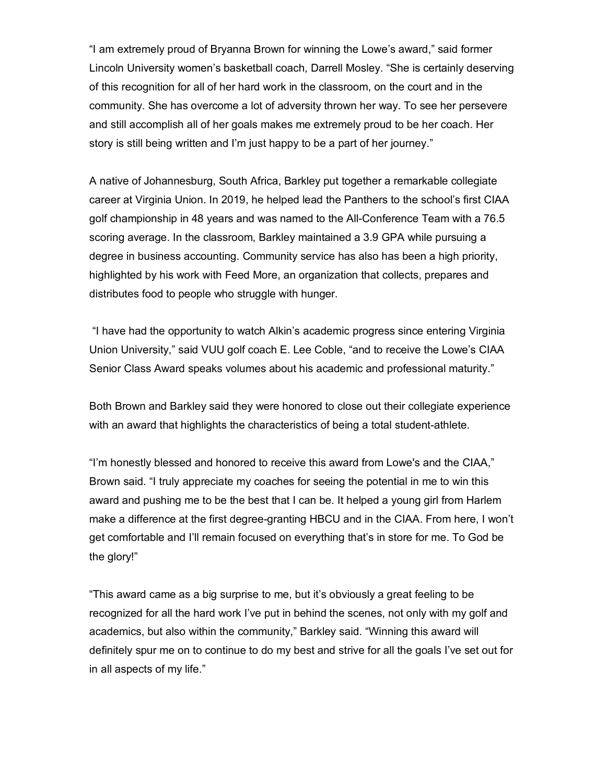"I am extremely proud of Bryanna Brown for winning the Lowe's award," said former Lincoln University women's basketball coach, Darrell Mosley. "She is certainly deserving of this recognition for all of her hard work in the classroom, on the court and in the community. She has overcome a lot of adversity thrown her way. To see her persevere and still accomplish all of her goals makes me extremely proud to be her coach. Her story is still being written and I'm just happy to be a part of her journey."

A native of Johannesburg, South Africa, Barkley put together a remarkable collegiate career at Virginia Union. In 2019, he helped lead the Panthers to the school's first CIAA golf championship in 48 years and was named to the All-Conference Team with a 76.5 scoring average. In the classroom, Barkley maintained a 3.9 GPA while pursuing a degree in business accounting. Community service has also has been a high priority, highlighted by his work with Feed More, an organization that collects, prepares and distributes food to people who struggle with hunger.

"I have had the opportunity to watch Alkin's academic progress since entering Virginia Union University," said VUU golf coach E. Lee Coble, "and to receive the Lowe's CIAA Senior Class Award speaks volumes about his academic and professional maturity."

Both Brown and Barkley said they were honored to close out their collegiate experience with an award that highlights the characteristics of being a total student-athlete.

"I'm honestly blessed and honored to receive this award from Lowe's and the CIAA," Brown said. "I truly appreciate my coaches for seeing the potential in me to win this award and pushing me to be the best that I can be. It helped a young girl from Harlem make a difference at the first degree-granting HBCU and in the CIAA. From here, I won't get comfortable and I'll remain focused on everything that's in store for me. To God be the glory!"

"This award came as a big surprise to me, but it's obviously a great feeling to be recognized for all the hard work I've put in behind the scenes, not only with my golf and academics, but also within the community," Barkley said. "Winning this award will definitely spur me on to continue to do my best and strive for all the goals I've set out for in all aspects of my life."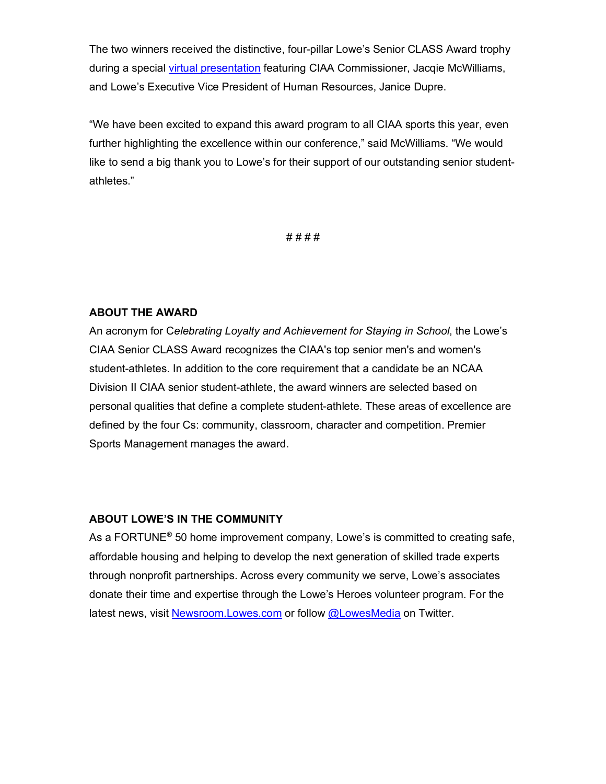The two winners received the distinctive, four-pillar Lowe's Senior CLASS Award trophy during a special virtual presentation featuring CIAA Commissioner, Jacqie McWilliams, and Lowe's Executive Vice President of Human Resources, Janice Dupre.

"We have been excited to expand this award program to all CIAA sports this year, even further highlighting the excellence within our conference," said McWilliams. "We would like to send a big thank you to Lowe's for their support of our outstanding senior studentathletes."

# # # #

#### **ABOUT THE AWARD**

An acronym for C*elebrating Loyalty and Achievement for Staying in School*, the Lowe's CIAA Senior CLASS Award recognizes the CIAA's top senior men's and women's student-athletes. In addition to the core requirement that a candidate be an NCAA Division II CIAA senior student-athlete, the award winners are selected based on personal qualities that define a complete student-athlete. These areas of excellence are defined by the four Cs: community, classroom, character and competition. Premier Sports Management manages the award.

## **ABOUT LOWE'S IN THE COMMUNITY**

As a FORTUNE<sup>®</sup> 50 home improvement company, Lowe's is committed to creating safe, affordable housing and helping to develop the next generation of skilled trade experts through nonprofit partnerships. Across every community we serve, Lowe's associates donate their time and expertise through the Lowe's Heroes volunteer program. For the latest news, visit Newsroom.Lowes.com or follow @LowesMedia on Twitter.